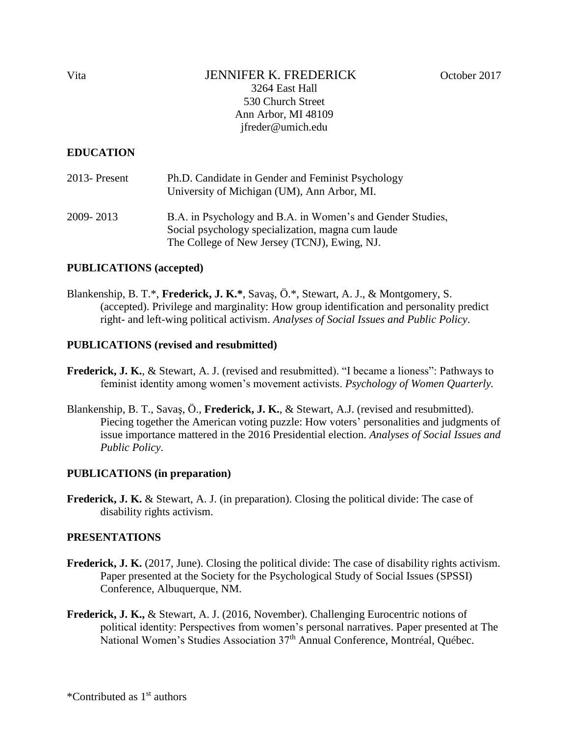## Vita JENNIFER K. FREDERICK October 2017 3264 East Hall 530 Church Street Ann Arbor, MI 48109 jfreder@umich.edu

### **EDUCATION**

| $2013$ - Present | Ph.D. Candidate in Gender and Feminist Psychology<br>University of Michigan (UM), Ann Arbor, MI.                                                                |
|------------------|-----------------------------------------------------------------------------------------------------------------------------------------------------------------|
| 2009-2013        | B.A. in Psychology and B.A. in Women's and Gender Studies,<br>Social psychology specialization, magna cum laude<br>The College of New Jersey (TCNJ), Ewing, NJ. |

### **PUBLICATIONS (accepted)**

Blankenship, B. T.\*, **Frederick, J. K.\***, Savaş, Ö.\*, Stewart, A. J., & Montgomery, S. (accepted). Privilege and marginality: How group identification and personality predict right- and left-wing political activism. *Analyses of Social Issues and Public Policy*.

#### **PUBLICATIONS (revised and resubmitted)**

- **Frederick, J. K.**, & Stewart, A. J. (revised and resubmitted). "I became a lioness": Pathways to feminist identity among women's movement activists. *Psychology of Women Quarterly.*
- Blankenship, B. T., Savaş, Ö., **Frederick, J. K.**, & Stewart, A.J. (revised and resubmitted). Piecing together the American voting puzzle: How voters' personalities and judgments of issue importance mattered in the 2016 Presidential election. *Analyses of Social Issues and Public Policy*.

#### **PUBLICATIONS (in preparation)**

**Frederick, J. K.** & Stewart, A. J. (in preparation). Closing the political divide: The case of disability rights activism.

#### **PRESENTATIONS**

- **Frederick, J. K.** (2017, June). Closing the political divide: The case of disability rights activism. Paper presented at the Society for the Psychological Study of Social Issues (SPSSI) Conference, Albuquerque, NM.
- **Frederick, J. K.,** & Stewart, A. J. (2016, November). Challenging Eurocentric notions of political identity: Perspectives from women's personal narratives. Paper presented at The National Women's Studies Association 37<sup>th</sup> Annual Conference, Montréal, Québec.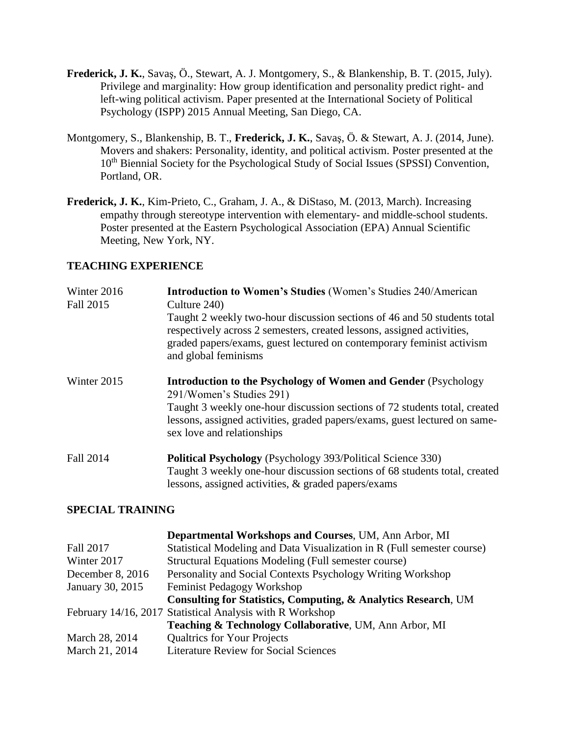- **Frederick, J. K.**, Savaş, Ö., Stewart, A. J. Montgomery, S., & Blankenship, B. T. (2015, July). Privilege and marginality: How group identification and personality predict right- and left-wing political activism. Paper presented at the International Society of Political Psychology (ISPP) 2015 Annual Meeting, San Diego, CA.
- Montgomery, S., Blankenship, B. T., **Frederick, J. K.**, Savaş, Ö. & Stewart, A. J. (2014, June). Movers and shakers: Personality, identity, and political activism. Poster presented at the 10<sup>th</sup> Biennial Society for the Psychological Study of Social Issues (SPSSI) Convention, Portland, OR.
- **Frederick, J. K.**, Kim-Prieto, C., Graham, J. A., & DiStaso, M. (2013, March). Increasing empathy through stereotype intervention with elementary- and middle-school students. Poster presented at the Eastern Psychological Association (EPA) Annual Scientific Meeting, New York, NY.

### **TEACHING EXPERIENCE**

| Winter 2016<br>Fall 2015 | <b>Introduction to Women's Studies (Women's Studies 240/American</b><br>Culture 240)                                                                                                                                                                                                         |
|--------------------------|----------------------------------------------------------------------------------------------------------------------------------------------------------------------------------------------------------------------------------------------------------------------------------------------|
|                          | Taught 2 weekly two-hour discussion sections of 46 and 50 students total<br>respectively across 2 semesters, created lessons, assigned activities,<br>graded papers/exams, guest lectured on contemporary feminist activism<br>and global feminisms                                          |
| Winter 2015              | <b>Introduction to the Psychology of Women and Gender (Psychology)</b><br>291/Women's Studies 291)<br>Taught 3 weekly one-hour discussion sections of 72 students total, created<br>lessons, assigned activities, graded papers/exams, guest lectured on same-<br>sex love and relationships |
| Fall 2014                | <b>Political Psychology</b> (Psychology 393/Political Science 330)<br>Taught 3 weekly one-hour discussion sections of 68 students total, created<br>lessons, assigned activities, & graded papers/exams                                                                                      |

### **SPECIAL TRAINING**

|                  | Departmental Workshops and Courses, UM, Ann Arbor, MI                   |
|------------------|-------------------------------------------------------------------------|
| Fall 2017        | Statistical Modeling and Data Visualization in R (Full semester course) |
| Winter 2017      | Structural Equations Modeling (Full semester course)                    |
| December 8, 2016 | Personality and Social Contexts Psychology Writing Workshop             |
| January 30, 2015 | Feminist Pedagogy Workshop                                              |
|                  | Consulting for Statistics, Computing, & Analytics Research, UM          |
|                  | February 14/16, 2017 Statistical Analysis with R Workshop               |
|                  | Teaching & Technology Collaborative, UM, Ann Arbor, MI                  |
| March 28, 2014   | <b>Qualtrics for Your Projects</b>                                      |
| March 21, 2014   | <b>Literature Review for Social Sciences</b>                            |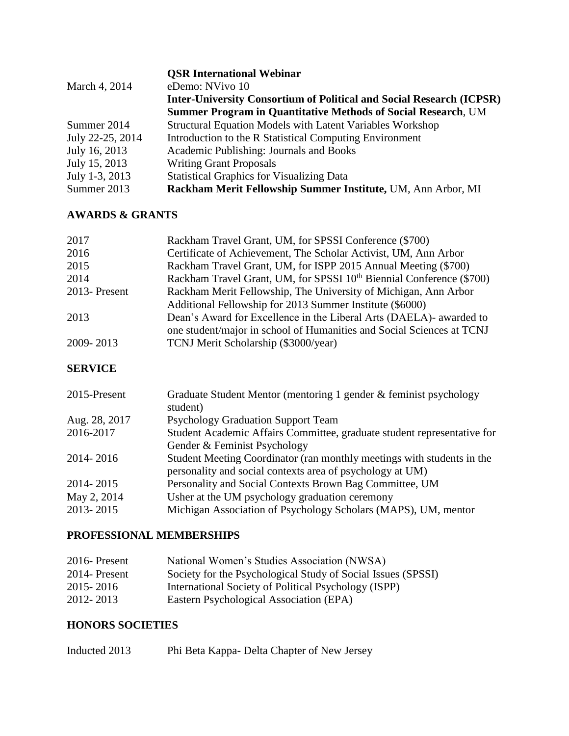|                  | <b>OSR International Webinar</b>                                            |
|------------------|-----------------------------------------------------------------------------|
| March 4, 2014    | eDemo: NVivo 10                                                             |
|                  | <b>Inter-University Consortium of Political and Social Research (ICPSR)</b> |
|                  | <b>Summer Program in Quantitative Methods of Social Research, UM</b>        |
| Summer 2014      | <b>Structural Equation Models with Latent Variables Workshop</b>            |
| July 22-25, 2014 | Introduction to the R Statistical Computing Environment                     |
| July 16, 2013    | Academic Publishing: Journals and Books                                     |
| July 15, 2013    | <b>Writing Grant Proposals</b>                                              |
| July 1-3, 2013   | <b>Statistical Graphics for Visualizing Data</b>                            |
| Summer 2013      | Rackham Merit Fellowship Summer Institute, UM, Ann Arbor, MI                |

# **AWARDS & GRANTS**

| 2017         | Rackham Travel Grant, UM, for SPSSI Conference (\$700)                           |
|--------------|----------------------------------------------------------------------------------|
| 2016         | Certificate of Achievement, The Scholar Activist, UM, Ann Arbor                  |
| 2015         | Rackham Travel Grant, UM, for ISPP 2015 Annual Meeting (\$700)                   |
| 2014         | Rackham Travel Grant, UM, for SPSSI 10 <sup>th</sup> Biennial Conference (\$700) |
| 2013-Present | Rackham Merit Fellowship, The University of Michigan, Ann Arbor                  |
|              | Additional Fellowship for 2013 Summer Institute (\$6000)                         |
| 2013         | Dean's Award for Excellence in the Liberal Arts (DAELA)- awarded to              |
|              | one student/major in school of Humanities and Social Sciences at TCNJ            |
| 2009-2013    | TCNJ Merit Scholarship (\$3000/year)                                             |
|              |                                                                                  |

## **SERVICE**

| 2015-Present  | Graduate Student Mentor (mentoring 1 gender & feminist psychology       |
|---------------|-------------------------------------------------------------------------|
|               | student)                                                                |
| Aug. 28, 2017 | <b>Psychology Graduation Support Team</b>                               |
| 2016-2017     | Student Academic Affairs Committee, graduate student representative for |
|               | Gender & Feminist Psychology                                            |
| 2014-2016     | Student Meeting Coordinator (ran monthly meetings with students in the  |
|               | personality and social contexts area of psychology at UM)               |
| 2014-2015     | Personality and Social Contexts Brown Bag Committee, UM                 |
| May 2, 2014   | Usher at the UM psychology graduation ceremony                          |
| 2013-2015     | Michigan Association of Psychology Scholars (MAPS), UM, mentor          |

# **PROFESSIONAL MEMBERSHIPS**

| 2016-Present  | National Women's Studies Association (NWSA)                  |
|---------------|--------------------------------------------------------------|
| 2014- Present | Society for the Psychological Study of Social Issues (SPSSI) |
| 2015 - 2016   | International Society of Political Psychology (ISPP)         |
| 2012-2013     | Eastern Psychological Association (EPA)                      |

## **HONORS SOCIETIES**